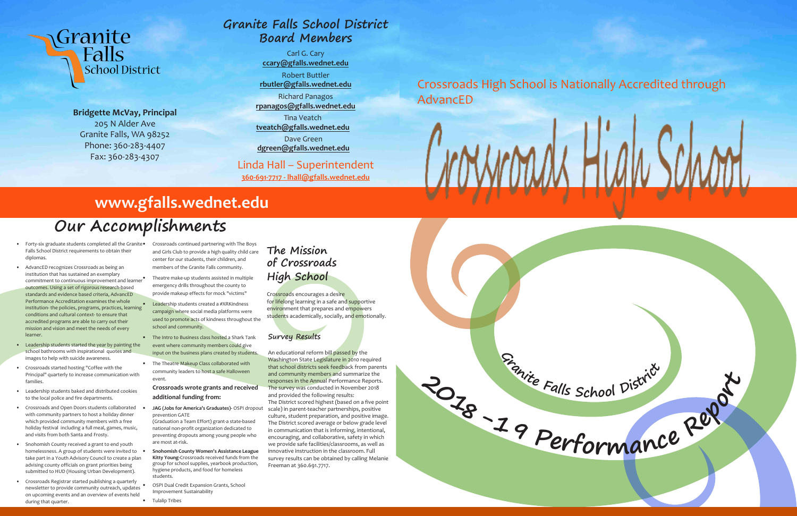

**Bridgette McVay, Principal**  205 N Alder Ave Granite Falls, WA 98252 Phone: 360-283-4407 Fax: 360-283-4307

**School District** 

Granite

**Falls** 

- Forty-six graduate students completed all the Granite Falls School District requirements to obtain their diplomas.
- AdvancED recognizes Crossroads as being an institution that has sustained an exemplary commitment to continuous improvement and learner outcomes. Using a set of rigorous research-based standards and evidence based criteria, AdvancED Performance Accreditation examines the whole institution- the policies, programs, practices, learning conditions and cultural context- to ensure that accredited programs are able to carry out their mission and vision and meet the needs of every learner.
- Leadership students started the year by painting the school bathrooms with inspirational quotes and images to help with suicide awareness.
- Crossroads started hosting "Coffee with the Principal" quarterly to increase communication with families.
- Leadership students baked and distributed cookies to the local police and fire departments.
- Crossroads and Open Doors students collaborated with community partners to host a holiday dinner which provided community members with a free holiday festival including a full meal, games, music, and visits from both Santa and Frosty.
- Snohomish County received a grant to end youth homelessness. A group of students were invited to  $\bullet$ take part in a Youth Advisory Council to create a plan advising county officials on grant priorities being submitted to HUD (Housing Urban Development).
- Crossroads Registrar started publishing a quarterly newsletter to provide community outreach, updates on upcoming events and an overview of events held during that quarter.

Crossroads encourages a desire for lifelong learning in a safe and supportive environment that prepares and empowers students academically, socially, and emotionally.

• Crossroads continued partnering with The Boys and Girls Club to provide a high quality child care center for our students, their children, and members of the Granite Falls community.

- Theatre make-up students assisted in multiple emergency drills throughout the county to provide makeup effects for mock "victims"
- Leadership students created a #XRKindness campaign where social media platforms were used to promote acts of kindness throughout the school and community.
- The Intro to Business class hosted a Shark Tank event where community members could give input on the business plans created by students
- The Theatre Makeup Class collaborated with community leaders to host a safe Halloween event.

#### **Crossroads wrote grants and received additional funding from:**

• **JAG (Jobs for America's Graduates)-** OSPI dropout prevention GATE

(Graduation a Team Effort) grant-a state-based national non-profit organization dedicated to preventing dropouts among young people who are most at-risk.

• **Snohomish County Women's Assistance League Kitty Young-**Crossroads received funds from the group for school supplies, yearbook production, hygiene products, and food for homeless students.

• OSPI Dual Credit Expansion Grants, School Improvement Sustainability

• Tulalip Tribes

# **Our Accomplishments**



## **Granite Falls School District Board Members**

Carl G. Cary **ccary@gfalls.wednet.edu**

Robert Buttler **rbutler@gfalls.wednet.edu**

Richard Panagos **rpanagos@gfalls.wednet.edu**

Tina Veatch **tveatch@gfalls.wednet.edu**

Dave Green **dgreen@gfalls.wednet.edu**

#### Linda Hall – Superintendent

**360-691-7717 - lhall@gfalls.wednet.edu**

## **The Mission of Crossroads High School**

#### **Survey Results**

An educational reform bill passed by the Washington State Legislature in 2010 required that school districts seek feedback from parents and community members and summarize the responses in the Annual Performance Reports. The survey was conducted in November 2018 and provided the following results: The District scored highest (based on a five point scale) in parent-teacher partnerships, positive culture, student preparation, and positive image. The District scored average or below grade level in communication that is informing, intentional, encouraging, and collaborative, safety in which we provide safe facilities/classrooms, as well as innovative instruction in the classroom. Full survey results can be obtained by calling Melanie Freeman at 360.691.7717.

## Crossroads High School is Nationally Accredited through AdvancED